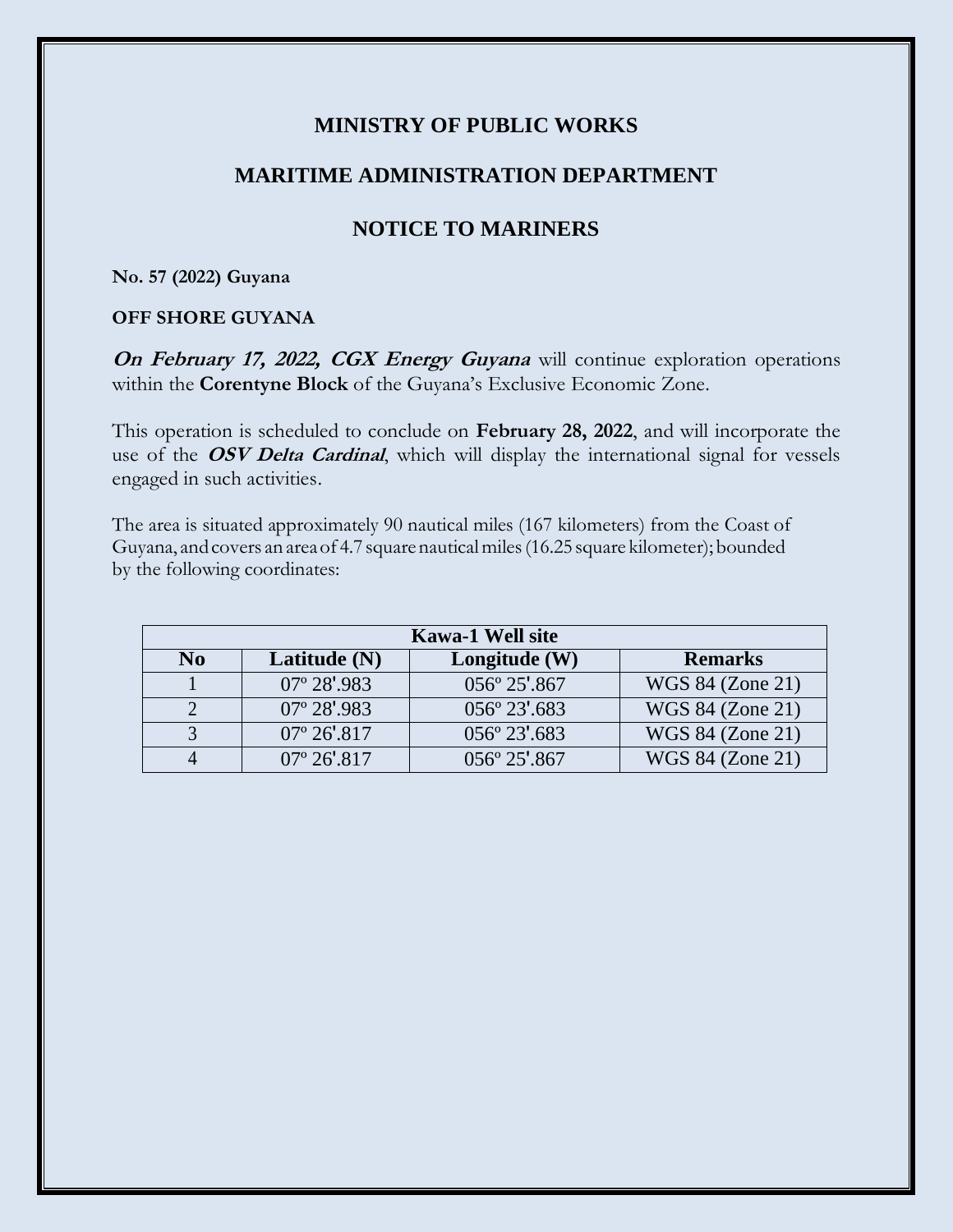## **MINISTRY OF PUBLIC WORKS**

## **MARITIME ADMINISTRATION DEPARTMENT**

# **NOTICE TO MARINERS**

#### **No. 57 (2022) Guyana**

### **OFF SHORE GUYANA**

**On February 17, 2022, CGX Energy Guyana** will continue exploration operations within the **Corentyne Block** of the Guyana's Exclusive Economic Zone.

This operation is scheduled to conclude on **February 28, 2022**, and will incorporate the use of the **OSV Delta Cardinal**, which will display the international signal for vessels engaged in such activities.

The area is situated approximately 90 nautical miles (167 kilometers) from the Coast of Guyana, and covers an area of 4.7 square nautical miles (16.25 square kilometer); bounded by the following coordinates:

| <b>Kawa-1 Well site</b> |                       |                         |                  |
|-------------------------|-----------------------|-------------------------|------------------|
| No                      | Latitude $(N)$        | Longitude (W)           | <b>Remarks</b>   |
|                         | $07^{\circ} 28'.983$  | 056° 25'.867            | WGS 84 (Zone 21) |
|                         | $07^{\circ} 28'.983$  | 056° 23'.683            | WGS 84 (Zone 21) |
|                         | $07^{\circ} 26'$ .817 | 056° 23' 683            | WGS 84 (Zone 21) |
|                         | $07^{\circ} 26' 817$  | $0.56^{\circ} 25'$ .867 | WGS 84 (Zone 21) |